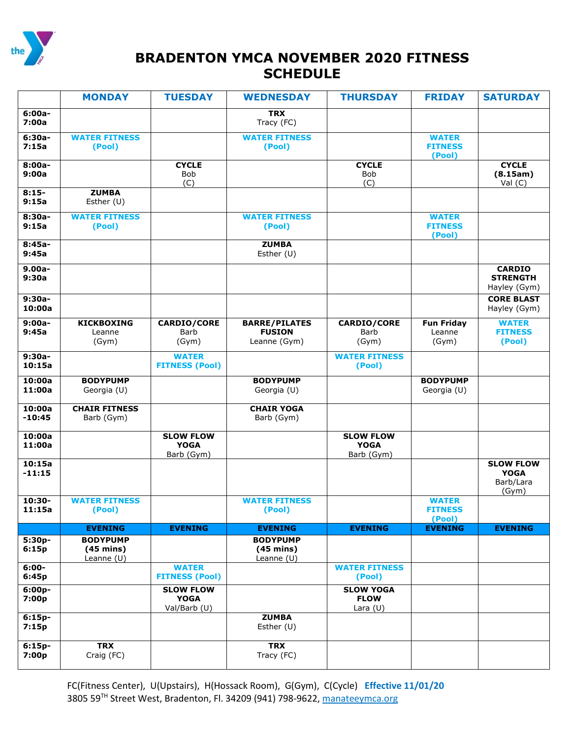

## **BRADENTON YMCA NOVEMBER 2020 FITNESS SCHEDULE**

|                    | <b>MONDAY</b>                                          | <b>TUESDAY</b>                                  | <b>WEDNESDAY</b>                                       | <b>THURSDAY</b>                               | <b>FRIDAY</b>                            | <b>SATURDAY</b>                                       |
|--------------------|--------------------------------------------------------|-------------------------------------------------|--------------------------------------------------------|-----------------------------------------------|------------------------------------------|-------------------------------------------------------|
| $6:00a-$<br>7:00a  |                                                        |                                                 | <b>TRX</b><br>Tracy (FC)                               |                                               |                                          |                                                       |
| $6:30a-$<br>7:15a  | <b>WATER FITNESS</b><br>(Pool)                         |                                                 | <b>WATER FITNESS</b><br>(Pool)                         |                                               | <b>WATER</b><br><b>FITNESS</b><br>(Pool) |                                                       |
| $8:00a-$<br>9:00a  |                                                        | <b>CYCLE</b><br><b>Bob</b><br>(C)               |                                                        | <b>CYCLE</b><br>Bob<br>(C)                    |                                          | <b>CYCLE</b><br>(8.15am)<br>Val $(C)$                 |
| $8:15-$<br>9:15a   | <b>ZUMBA</b><br>Esther (U)                             |                                                 |                                                        |                                               |                                          |                                                       |
| $8:30a-$<br>9:15a  | <b>WATER FITNESS</b><br>(Pool)                         |                                                 | <b>WATER FITNESS</b><br>(Pool)                         |                                               | <b>WATER</b><br><b>FITNESS</b><br>(Pool) |                                                       |
| $8:45a-$<br>9:45a  |                                                        |                                                 | <b>ZUMBA</b><br>Esther (U)                             |                                               |                                          |                                                       |
| $9.00a -$<br>9:30a |                                                        |                                                 |                                                        |                                               |                                          | <b>CARDIO</b><br><b>STRENGTH</b><br>Hayley (Gym)      |
| $9:30a-$<br>10:00a |                                                        |                                                 |                                                        |                                               |                                          | <b>CORE BLAST</b><br>Hayley (Gym)                     |
| $9:00a -$<br>9:45a | <b>KICKBOXING</b><br>Leanne<br>(Gym)                   | <b>CARDIO/CORE</b><br>Barb<br>(Gym)             | <b>BARRE/PILATES</b><br><b>FUSION</b><br>Leanne (Gym)  | <b>CARDIO/CORE</b><br>Barb<br>(Gym)           | <b>Fun Friday</b><br>Leanne<br>(Gym)     | <b>WATER</b><br><b>FITNESS</b><br>(Pool)              |
| $9:30a-$<br>10:15a |                                                        | <b>WATER</b><br><b>FITNESS (Pool)</b>           |                                                        | <b>WATER FITNESS</b><br>(Pool)                |                                          |                                                       |
| 10:00a<br>11:00a   | <b>BODYPUMP</b><br>Georgia (U)                         |                                                 | <b>BODYPUMP</b><br>Georgia (U)                         |                                               | <b>BODYPUMP</b><br>Georgia (U)           |                                                       |
| 10:00a<br>$-10:45$ | <b>CHAIR FITNESS</b><br>Barb (Gym)                     |                                                 | <b>CHAIR YOGA</b><br>Barb (Gym)                        |                                               |                                          |                                                       |
| 10:00a<br>11:00a   |                                                        | <b>SLOW FLOW</b><br><b>YOGA</b><br>Barb (Gym)   |                                                        | <b>SLOW FLOW</b><br><b>YOGA</b><br>Barb (Gym) |                                          |                                                       |
| 10:15a<br>$-11:15$ |                                                        |                                                 |                                                        |                                               |                                          | <b>SLOW FLOW</b><br><b>YOGA</b><br>Barb/Lara<br>(Gym) |
| 10:30-<br>11:15a   | <b>WATER FITNESS</b><br>(Pool)                         |                                                 | <b>WATER FITNESS</b><br>(Pool)                         |                                               | <b>WATER</b><br><b>FITNESS</b><br>(Pool) |                                                       |
|                    | <b>EVENING</b>                                         | <b>EVENING</b>                                  | <b>EVENING</b>                                         | <b>EVENING</b>                                | <b>EVENING</b>                           | <b>EVENING</b>                                        |
| $5:30p-$<br>6:15p  | <b>BODYPUMP</b><br>$(45 \text{ mins})$<br>Leanne $(U)$ |                                                 | <b>BODYPUMP</b><br>$(45 \text{ mins})$<br>Leanne $(U)$ |                                               |                                          |                                                       |
| $6:00 -$<br>6:45p  |                                                        | <b>WATER</b><br><b>FITNESS (Pool)</b>           |                                                        | <b>WATER FITNESS</b><br>(Pool)                |                                          |                                                       |
| $6:00p-$<br>7:00p  |                                                        | <b>SLOW FLOW</b><br><b>YOGA</b><br>Val/Barb (U) |                                                        | <b>SLOW YOGA</b><br><b>FLOW</b><br>Lara $(U)$ |                                          |                                                       |
| $6:15p-$<br>7:15p  |                                                        |                                                 | <b>ZUMBA</b><br>Esther (U)                             |                                               |                                          |                                                       |
| $6:15p-$<br>7:00p  | <b>TRX</b><br>Craig (FC)                               |                                                 | <b>TRX</b><br>Tracy (FC)                               |                                               |                                          |                                                       |

FC(Fitness Center), U(Upstairs), H(Hossack Room), G(Gym), C(Cycle) **Effective 11/01/20** 3805 59<sup>TH</sup> Street West, Bradenton, Fl. 34209 (941) 798-9622[, manateeymca.org](http://www.manateeymca.org/)